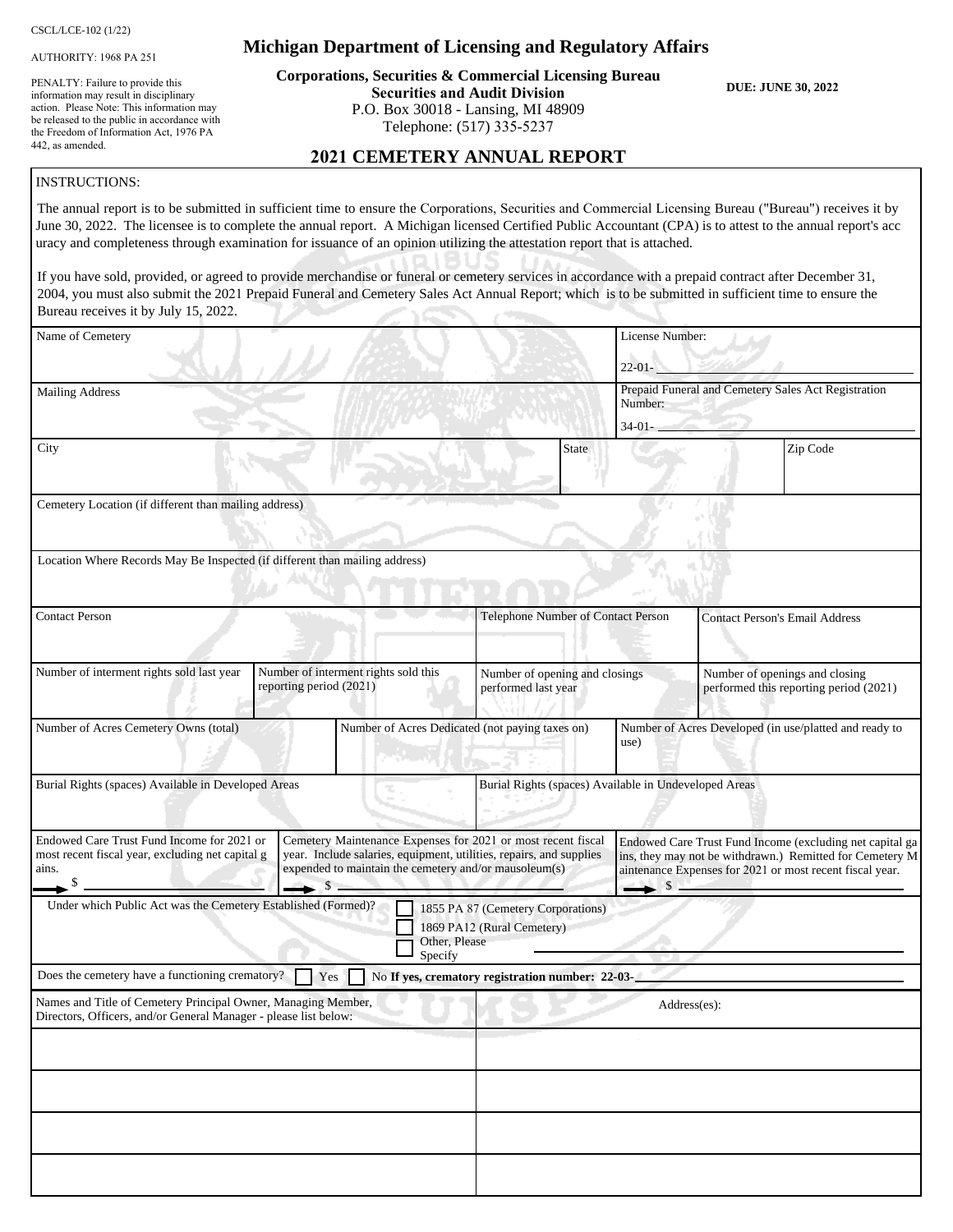CSCL/LCE-102 (1/22)

AUTHORITY: 1968 PA 251

PENALTY: Failure to provide this information may result in disciplinary action. Please Note: This information may be released to the public in accordance with the Freedom of Information Act, 1976 PA 442, as amended.

#### **Michigan Department of Licensing and Regulatory Affairs**

**Corporations, Securities & Commercial Licensing Bureau Securities and Audit Division** P.O. Box 30018 - Lansing, MI 48909 Telephone: (517) 335-5237

**DUE: JUNE 30, 2022**

#### **2021 CEMETERY ANNUAL REPORT**

#### INSTRUCTIONS:

The annual report is to be submitted in sufficient time to ensure the Corporations, Securities and Commercial Licensing Bureau ("Bureau") receives it by June 30, 2022. The licensee is to complete the annual report. A Michigan licensed Certified Public Accountant (CPA) is to attest to the annual report's acc uracy and completeness through examination for issuance of an opinion utilizing the attestation report that is attached.

If you have sold, provided, or agreed to provide merchandise or funeral or cemetery services in accordance with a prepaid contract after December 31, 2004, you must also submit the 2021 Prepaid Funeral and Cemetery Sales Act Annual Report; which is to be submitted in sufficient time to ensure the Bureau receives it by July 15, 2022.

| $\mu$ and $\mu$ and $\mu$ and $\mu$ and $\mu$ and $\mu$ and $\mu$                                                                 |                                                                                                                                                                                                           |                                                                  |                 |                                                                                                                                                                                  |
|-----------------------------------------------------------------------------------------------------------------------------------|-----------------------------------------------------------------------------------------------------------------------------------------------------------------------------------------------------------|------------------------------------------------------------------|-----------------|----------------------------------------------------------------------------------------------------------------------------------------------------------------------------------|
| Name of Cemetery                                                                                                                  |                                                                                                                                                                                                           |                                                                  | License Number: |                                                                                                                                                                                  |
|                                                                                                                                   |                                                                                                                                                                                                           |                                                                  | $22-01-$        |                                                                                                                                                                                  |
| <b>Mailing Address</b>                                                                                                            |                                                                                                                                                                                                           |                                                                  | Number:         | Prepaid Funeral and Cemetery Sales Act Registration                                                                                                                              |
|                                                                                                                                   |                                                                                                                                                                                                           |                                                                  | $34-01-$        |                                                                                                                                                                                  |
| City                                                                                                                              |                                                                                                                                                                                                           | <b>State</b>                                                     |                 | Zip Code                                                                                                                                                                         |
| Cemetery Location (if different than mailing address)                                                                             |                                                                                                                                                                                                           |                                                                  |                 |                                                                                                                                                                                  |
|                                                                                                                                   |                                                                                                                                                                                                           |                                                                  |                 |                                                                                                                                                                                  |
| Location Where Records May Be Inspected (if different than mailing address)                                                       |                                                                                                                                                                                                           |                                                                  |                 |                                                                                                                                                                                  |
| <b>Contact Person</b>                                                                                                             |                                                                                                                                                                                                           | Telephone Number of Contact Person                               |                 | <b>Contact Person's Email Address</b>                                                                                                                                            |
| Number of interment rights sold last year                                                                                         | Number of interment rights sold this<br>reporting period (2021)                                                                                                                                           | Number of opening and closings<br>performed last year            |                 | Number of openings and closing<br>performed this reporting period (2021)                                                                                                         |
|                                                                                                                                   |                                                                                                                                                                                                           |                                                                  |                 |                                                                                                                                                                                  |
| Number of Acres Cemetery Owns (total)                                                                                             |                                                                                                                                                                                                           | Number of Acres Dedicated (not paying taxes on)                  | use)            | Number of Acres Developed (in use/platted and ready to                                                                                                                           |
| Burial Rights (spaces) Available in Developed Areas                                                                               |                                                                                                                                                                                                           | Burial Rights (spaces) Available in Undeveloped Areas            |                 |                                                                                                                                                                                  |
| Endowed Care Trust Fund Income for 2021 or<br>most recent fiscal year, excluding net capital g<br>ains.                           | Cemetery Maintenance Expenses for 2021 or most recent fiscal<br>year. Include salaries, equipment, utilities, repairs, and supplies<br>expended to maintain the cemetery and/or mausoleum(s)<br>$\sim$ \$ |                                                                  | $\rightarrow$ s | Endowed Care Trust Fund Income (excluding net capital ga<br>ins, they may not be withdrawn.) Remitted for Cemetery M<br>aintenance Expenses for 2021 or most recent fiscal year. |
| Under which Public Act was the Cemetery Established (Formed)?                                                                     | Other, Please<br>Specify                                                                                                                                                                                  | 1855 PA 87 (Cemetery Corporations)<br>1869 PA12 (Rural Cemetery) |                 |                                                                                                                                                                                  |
| Does the cemetery have a functioning crematory?                                                                                   | Yes                                                                                                                                                                                                       | No If yes, crematory registration number: 22-03-                 |                 |                                                                                                                                                                                  |
| Names and Title of Cemetery Principal Owner, Managing Member,<br>Directors, Officers, and/or General Manager - please list below: |                                                                                                                                                                                                           |                                                                  |                 | Address(es):                                                                                                                                                                     |
|                                                                                                                                   |                                                                                                                                                                                                           |                                                                  |                 |                                                                                                                                                                                  |
|                                                                                                                                   |                                                                                                                                                                                                           |                                                                  |                 |                                                                                                                                                                                  |
|                                                                                                                                   |                                                                                                                                                                                                           |                                                                  |                 |                                                                                                                                                                                  |
|                                                                                                                                   |                                                                                                                                                                                                           |                                                                  |                 |                                                                                                                                                                                  |
|                                                                                                                                   |                                                                                                                                                                                                           |                                                                  |                 |                                                                                                                                                                                  |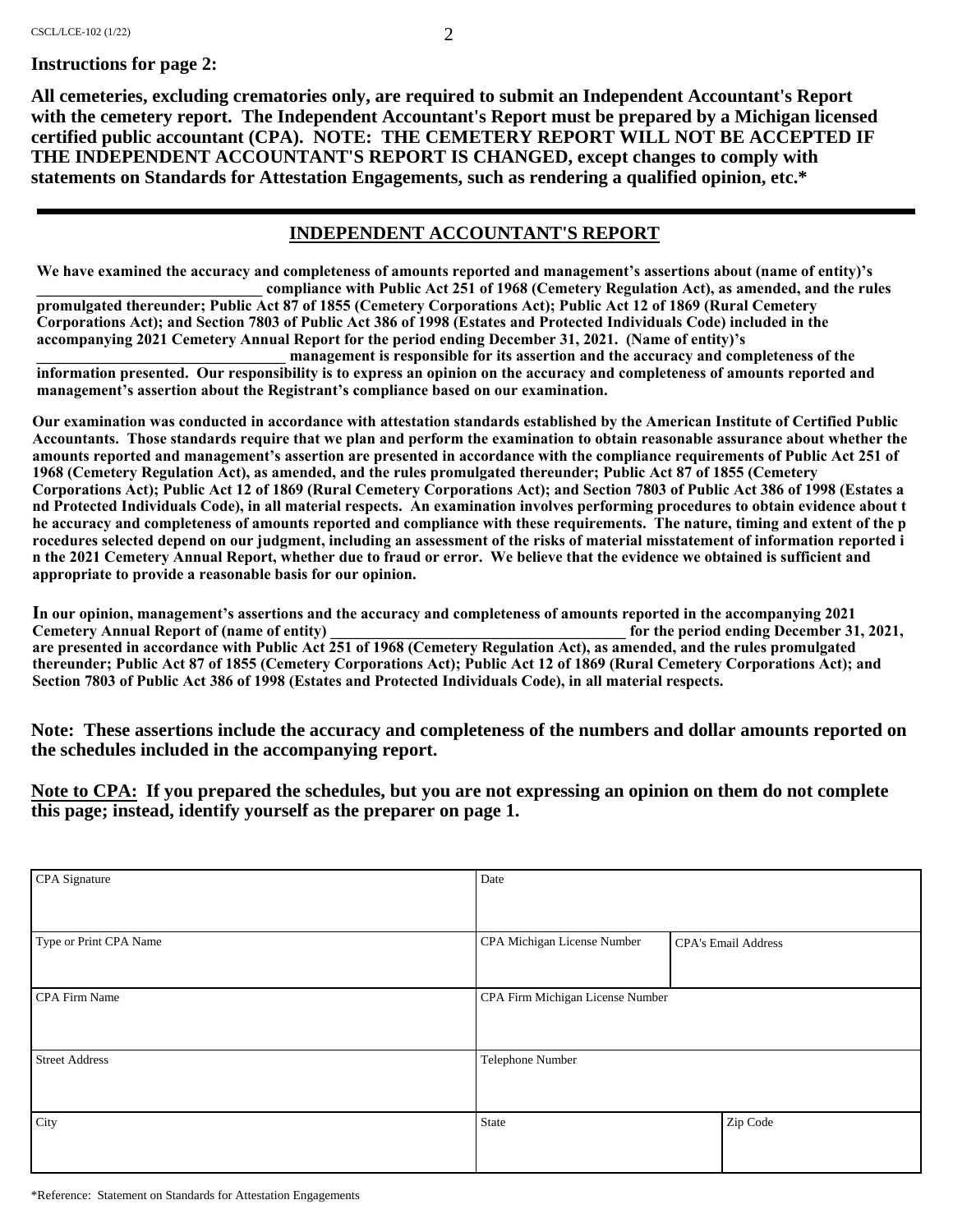**All cemeteries, excluding crematories only, are required to submit an Independent Accountant's Report with the cemetery report. The Independent Accountant's Report must be prepared by a Michigan licensed certified public accountant (CPA). NOTE: THE CEMETERY REPORT WILL NOT BE ACCEPTED IF THE INDEPENDENT ACCOUNTANT'S REPORT IS CHANGED, except changes to comply with statements on Standards for Attestation Engagements, such as rendering a qualified opinion, etc.\***

#### **INDEPENDENT ACCOUNTANT'S REPORT**

**We have examined the accuracy and completeness of amounts reported and management's assertions about (name of entity)'s \_\_\_\_\_\_\_\_\_\_\_\_\_\_\_\_\_\_\_\_\_\_\_\_\_\_\_\_\_ compliance with Public Act 251 of 1968 (Cemetery Regulation Act), as amended, and the rules** 

**promulgated thereunder; Public Act 87 of 1855 (Cemetery Corporations Act); Public Act 12 of 1869 (Rural Cemetery Corporations Act); and Section 7803 of Public Act 386 of 1998 (Estates and Protected Individuals Code) included in the accompanying 2021 Cemetery Annual Report for the period ending December 31, 2021. (Name of entity)'s** 

**\_\_\_\_\_\_\_\_\_\_\_\_\_\_\_\_\_\_\_\_\_\_\_\_\_\_\_\_\_\_\_\_ management is responsible for its assertion and the accuracy and completeness of the information presented. Our responsibility is to express an opinion on the accuracy and completeness of amounts reported and management's assertion about the Registrant's compliance based on our examination.**

**Our examination was conducted in accordance with attestation standards established by the American Institute of Certified Public Accountants. Those standards require that we plan and perform the examination to obtain reasonable assurance about whether the amounts reported and management's assertion are presented in accordance with the compliance requirements of Public Act 251 of 1968 (Cemetery Regulation Act), as amended, and the rules promulgated thereunder; Public Act 87 of 1855 (Cemetery Corporations Act); Public Act 12 of 1869 (Rural Cemetery Corporations Act); and Section 7803 of Public Act 386 of 1998 (Estates a nd Protected Individuals Code), in all material respects. An examination involves performing procedures to obtain evidence about t he accuracy and completeness of amounts reported and compliance with these requirements. The nature, timing and extent of the p rocedures selected depend on our judgment, including an assessment of the risks of material misstatement of information reported i n the 2021 Cemetery Annual Report, whether due to fraud or error. We believe that the evidence we obtained is sufficient and appropriate to provide a reasonable basis for our opinion.**

**In our opinion, management's assertions and the accuracy and completeness of amounts reported in the accompanying 2021 Cemetery Annual Report of (name of entity) \_\_\_\_\_\_\_\_\_\_\_\_\_\_\_\_\_\_\_\_\_\_\_\_\_\_\_\_\_\_\_\_\_\_\_\_\_\_ for the period ending December 31, 2021, are presented in accordance with Public Act 251 of 1968 (Cemetery Regulation Act), as amended, and the rules promulgated thereunder; Public Act 87 of 1855 (Cemetery Corporations Act); Public Act 12 of 1869 (Rural Cemetery Corporations Act); and Section 7803 of Public Act 386 of 1998 (Estates and Protected Individuals Code), in all material respects.**

**Note: These assertions include the accuracy and completeness of the numbers and dollar amounts reported on the schedules included in the accompanying report.**

**Note to CPA: If you prepared the schedules, but you are not expressing an opinion on them do not complete this page; instead, identify yourself as the preparer on page 1.**

| CPA Signature          | Date                             |                     |  |
|------------------------|----------------------------------|---------------------|--|
|                        |                                  |                     |  |
| Type or Print CPA Name | CPA Michigan License Number      | CPA's Email Address |  |
|                        |                                  |                     |  |
| CPA Firm Name          | CPA Firm Michigan License Number |                     |  |
|                        |                                  |                     |  |
| <b>Street Address</b>  | Telephone Number                 |                     |  |
|                        |                                  |                     |  |
| City                   | State                            | Zip Code            |  |
|                        |                                  |                     |  |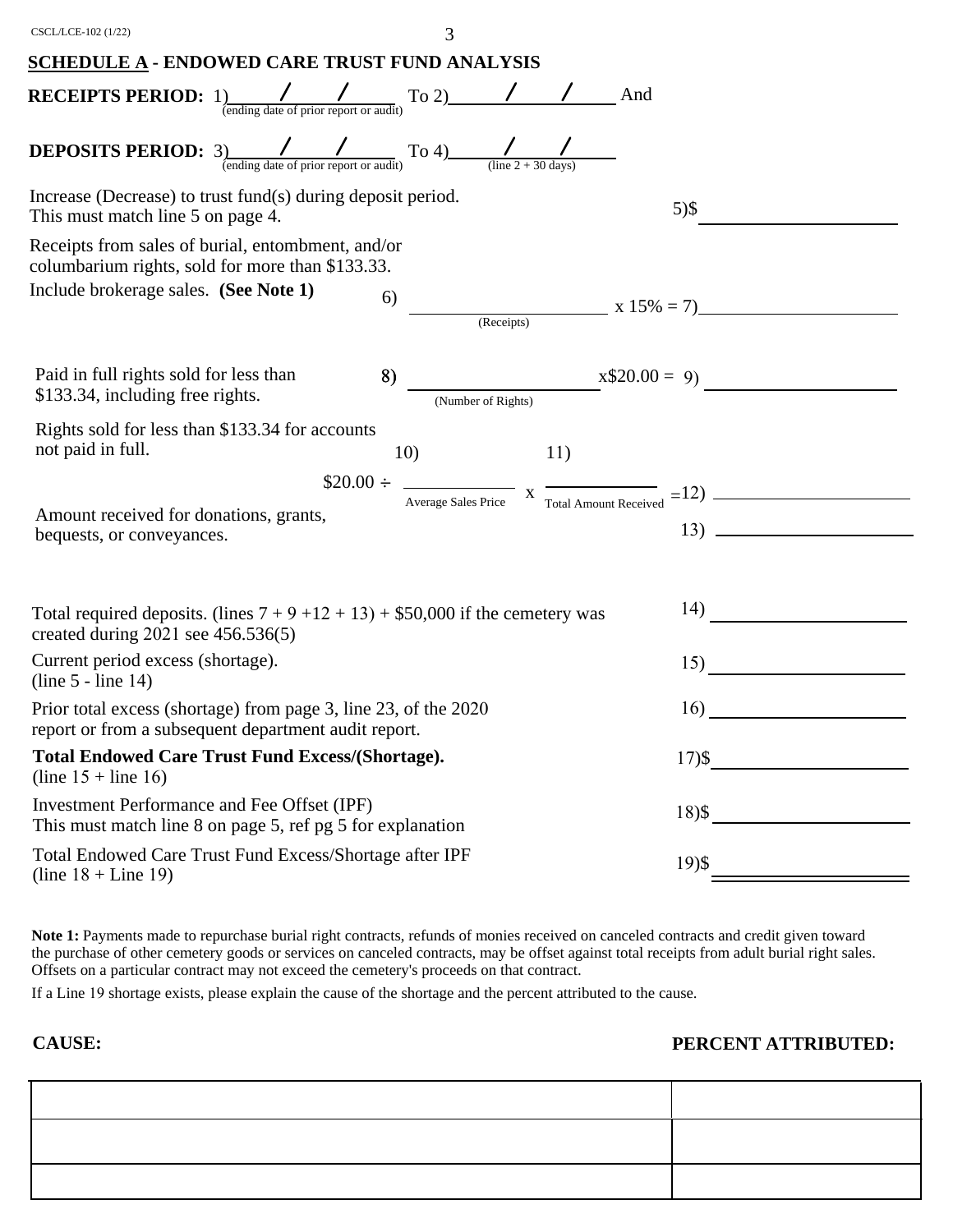| CSCL/LCE-102 (1/22)                                                                                                                                                     | 3                                                                                                |
|-------------------------------------------------------------------------------------------------------------------------------------------------------------------------|--------------------------------------------------------------------------------------------------|
| <b>SCHEDULE A - ENDOWED CARE TRUST FUND ANALYSIS</b>                                                                                                                    |                                                                                                  |
| <b>RECEIPTS PERIOD:</b> $1)$<br>(ending date of prior report or audit) To 2) / / / And                                                                                  |                                                                                                  |
| <b>DEPOSITS PERIOD:</b> 3) $\frac{1}{\frac{(\text{ending date of prior report or audit})}{(\text{error report or audit})}}$ To 4) $\frac{1}{(\text{line 2 + 30 days})}$ |                                                                                                  |
| Increase (Decrease) to trust fund(s) during deposit period.<br>This must match line 5 on page 4.                                                                        | $5)$ \$                                                                                          |
| Receipts from sales of burial, entombment, and/or<br>columbarium rights, sold for more than \$133.33.                                                                   |                                                                                                  |
| Include brokerage sales. (See Note 1)<br>6)                                                                                                                             | (Receipts) $x 15\% = 7$                                                                          |
| Paid in full rights sold for less than<br>8)<br>\$133.34, including free rights.                                                                                        | $x$20.00 = 9$                                                                                    |
| Rights sold for less than \$133.34 for accounts<br>not paid in full.<br>10)                                                                                             | 11)                                                                                              |
|                                                                                                                                                                         | $$20.00 \div \frac{}{\text{Average Sales Price}}$ x $\frac{}{\text{Total Amount received}} = 12$ |
| Amount received for donations, grants,<br>bequests, or conveyances.                                                                                                     |                                                                                                  |
|                                                                                                                                                                         |                                                                                                  |
| Total required deposits. (lines $7 + 9 + 12 + 13$ ) + \$50,000 if the cemetery was<br>created during $2021$ see $456.536(5)$                                            |                                                                                                  |
| Current period excess (shortage).<br>$(line 5 - line 14)$                                                                                                               | 15)                                                                                              |
| Prior total excess (shortage) from page 3, line 23, of the 2020<br>report or from a subsequent department audit report.                                                 | 16)                                                                                              |
| <b>Total Endowed Care Trust Fund Excess/(Shortage).</b><br>(line $15 +$ line 16)                                                                                        | $17)$ \$                                                                                         |
| Investment Performance and Fee Offset (IPF)<br>This must match line 8 on page 5, ref pg 5 for explanation                                                               | $18)$ \$                                                                                         |
| Total Endowed Care Trust Fund Excess/Shortage after IPF<br>(line $18 +$ Line 19)                                                                                        | $19)$ \$                                                                                         |

**Note 1:** Payments made to repurchase burial right contracts, refunds of monies received on canceled contracts and credit given toward the purchase of other cemetery goods or services on canceled contracts, may be offset against total receipts from adult burial right sales. Offsets on a particular contract may not exceed the cemetery's proceeds on that contract.

If a Line 19 shortage exists, please explain the cause of the shortage and the percent attributed to the cause.

**CAUSE: PERCENT ATTRIBUTED:**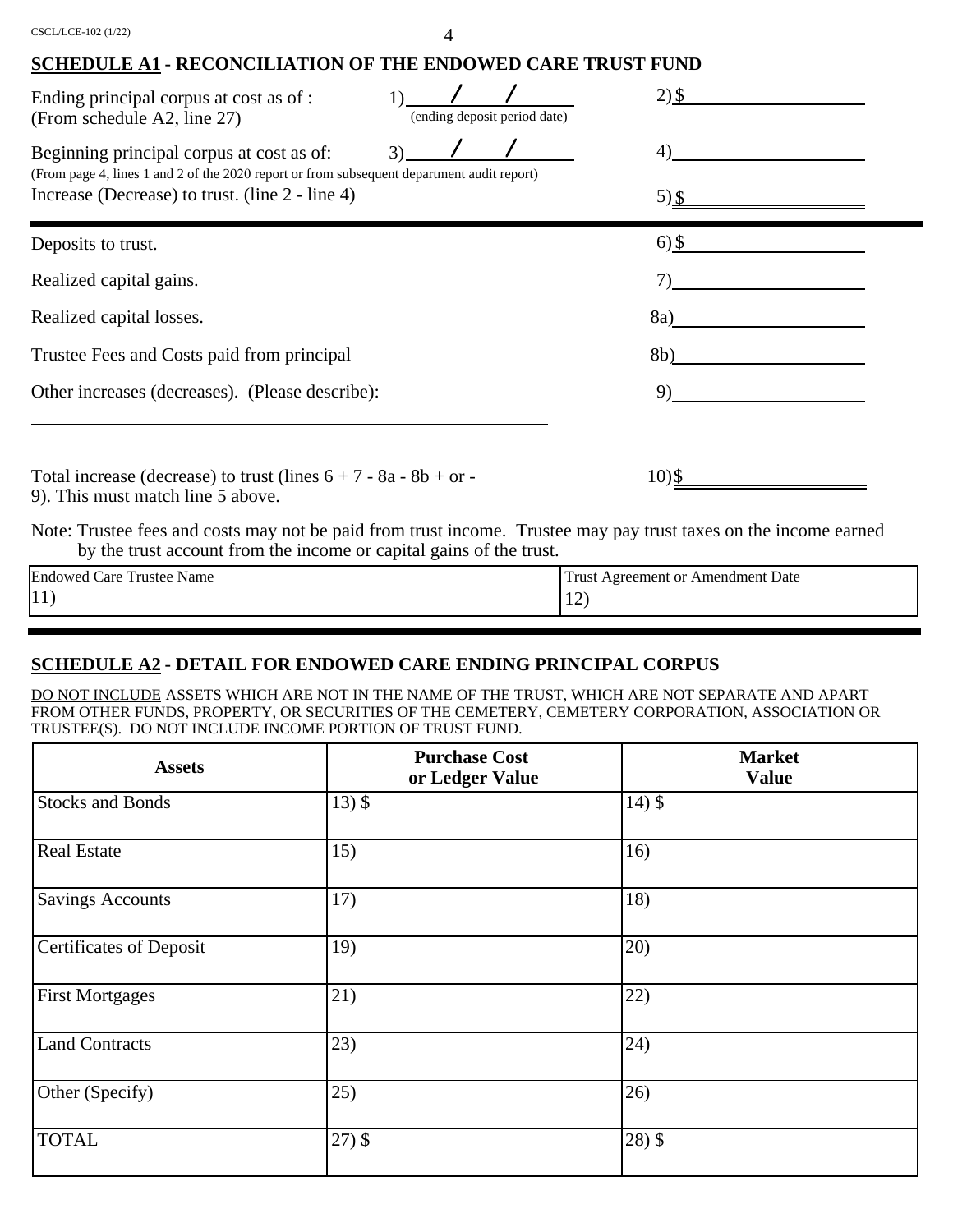| CSCL/LCE-102 (1/22) |  |  |
|---------------------|--|--|
|                     |  |  |

#### **SCHEDULE A1 - RECONCILIATION OF THE ENDOWED CARE TRUST FUND**

| Ending principal corpus at cost as of :<br>(From schedule A2, line 27)                                                                                                                     | (ending deposit period date) | $2)$ \$        |  |
|--------------------------------------------------------------------------------------------------------------------------------------------------------------------------------------------|------------------------------|----------------|--|
| Beginning principal corpus at cost as of:<br>(From page 4, lines 1 and 2 of the 2020 report or from subsequent department audit report)<br>Increase (Decrease) to trust. (line 2 - line 4) | 3)                           | 4)<br>5) \$    |  |
| Deposits to trust.                                                                                                                                                                         |                              | $6)$ \$        |  |
| Realized capital gains.                                                                                                                                                                    |                              |                |  |
| Realized capital losses.                                                                                                                                                                   |                              | 8a)            |  |
| Trustee Fees and Costs paid from principal                                                                                                                                                 |                              | 8 <sub>b</sub> |  |
| Other increases (decreases). (Please describe):                                                                                                                                            |                              | 9)             |  |
| Total increase (decrease) to trust (lines $6 + 7 - 8a - 8b + or$<br>9). This must match line 5 above.                                                                                      |                              | 10)            |  |
| Note: Trustee fees and costs may not be paid from trust income. Trustee may pay trust taxes on the income earned                                                                           |                              |                |  |

by the trust account from the income or capital gains of the trust.

| $\mathbf{r}$<br>Endowed<br>Care <sup>'</sup><br>*rustee ⊥<br>Name | Date<br>Frust<br>: Amendment 1<br>Agreement or |
|-------------------------------------------------------------------|------------------------------------------------|
| $ 11\rangle$                                                      | $\ddot{\phantom{1}}$<br>--                     |

# **SCHEDULE A2 - DETAIL FOR ENDOWED CARE ENDING PRINCIPAL CORPUS**

DO NOT INCLUDE ASSETS WHICH ARE NOT IN THE NAME OF THE TRUST, WHICH ARE NOT SEPARATE AND APART FROM OTHER FUNDS, PROPERTY, OR SECURITIES OF THE CEMETERY, CEMETERY CORPORATION, ASSOCIATION OR TRUSTEE(S). DO NOT INCLUDE INCOME PORTION OF TRUST FUND.

| <b>Assets</b>                  | <b>Purchase Cost</b><br>or Ledger Value | <b>Market</b><br><b>Value</b> |
|--------------------------------|-----------------------------------------|-------------------------------|
| <b>Stocks and Bonds</b>        | $13)$ \$                                | $14)$ \$                      |
| <b>Real Estate</b>             | 15)                                     | 16)                           |
| <b>Savings Accounts</b>        | 17)                                     | 18)                           |
| <b>Certificates of Deposit</b> | 19)                                     | (20)                          |
| <b>First Mortgages</b>         | 21)                                     | 22)                           |
| <b>Land Contracts</b>          | 23)                                     | (24)                          |
| Other (Specify)                | 25)                                     | (26)                          |
| <b>TOTAL</b>                   | $27)$ \$                                | $28)$ \$                      |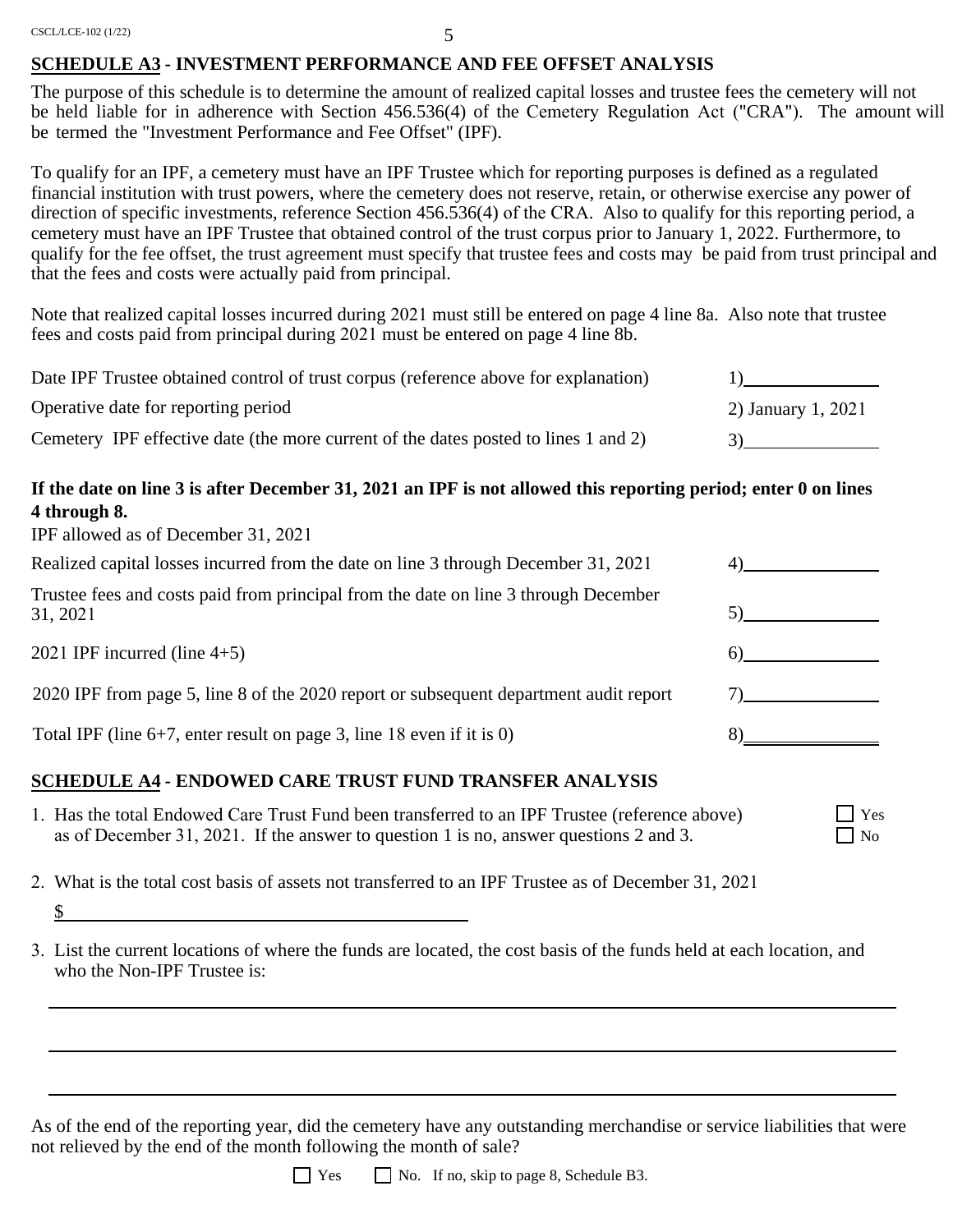CSCL/LCE-102 (1/22)

#### 5

#### **SCHEDULE A3 - INVESTMENT PERFORMANCE AND FEE OFFSET ANALYSIS**

The purpose of this schedule is to determine the amount of realized capital losses and trustee fees the cemetery will not be held liable for in adherence with Section 456.536(4) of the Cemetery Regulation Act ("CRA"). The amount will be termed the "Investment Performance and Fee Offset" (IPF).

To qualify for an IPF, a cemetery must have an IPF Trustee which for reporting purposes is defined as a regulated financial institution with trust powers, where the cemetery does not reserve, retain, or otherwise exercise any power of direction of specific investments, reference Section 456.536(4) of the CRA. Also to qualify for this reporting period, a cemetery must have an IPF Trustee that obtained control of the trust corpus prior to January 1, 2022. Furthermore, to qualify for the fee offset, the trust agreement must specify that trustee fees and costs may be paid from trust principal and that the fees and costs were actually paid from principal.

Note that realized capital losses incurred during 2021 must still be entered on page 4 line 8a. Also note that trustee fees and costs paid from principal during 2021 must be entered on page 4 line 8b.

| Date IPF Trustee obtained control of trust corpus (reference above for explanation) |                    |
|-------------------------------------------------------------------------------------|--------------------|
| Operative date for reporting period                                                 | 2) January 1, 2021 |
| Cemetery IPF effective date (the more current of the dates posted to lines 1 and 2) |                    |

### **If the date on line 3 is after December 31, 2021 an IPF is not allowed this reporting period; enter 0 on lines 4 through 8.**

IPF allowed as of December 31, 2021

\$

| Realized capital losses incurred from the date on line 3 through December 31, 2021              |  |
|-------------------------------------------------------------------------------------------------|--|
| Trustee fees and costs paid from principal from the date on line 3 through December<br>31, 2021 |  |
| 2021 IPF incurred (line $4+5$ )                                                                 |  |
| 2020 IPF from page 5, line 8 of the 2020 report or subsequent department audit report           |  |
| Total IPF (line $6+7$ , enter result on page 3, line 18 even if it is 0)                        |  |
|                                                                                                 |  |

Yes  $\Box$  No

## **SCHEDULE A4 - ENDOWED CARE TRUST FUND TRANSFER ANALYSIS**

- 1. Has the total Endowed Care Trust Fund been transferred to an IPF Trustee (reference above) as of December 31, 2021. If the answer to question 1 is no, answer questions 2 and 3.
- 2. What is the total cost basis of assets not transferred to an IPF Trustee as of December 31, 2021
- 3. List the current locations of where the funds are located, the cost basis of the funds held at each location, and who the Non-IPF Trustee is:

As of the end of the reporting year, did the cemetery have any outstanding merchandise or service liabilities that were not relieved by the end of the month following the month of sale?

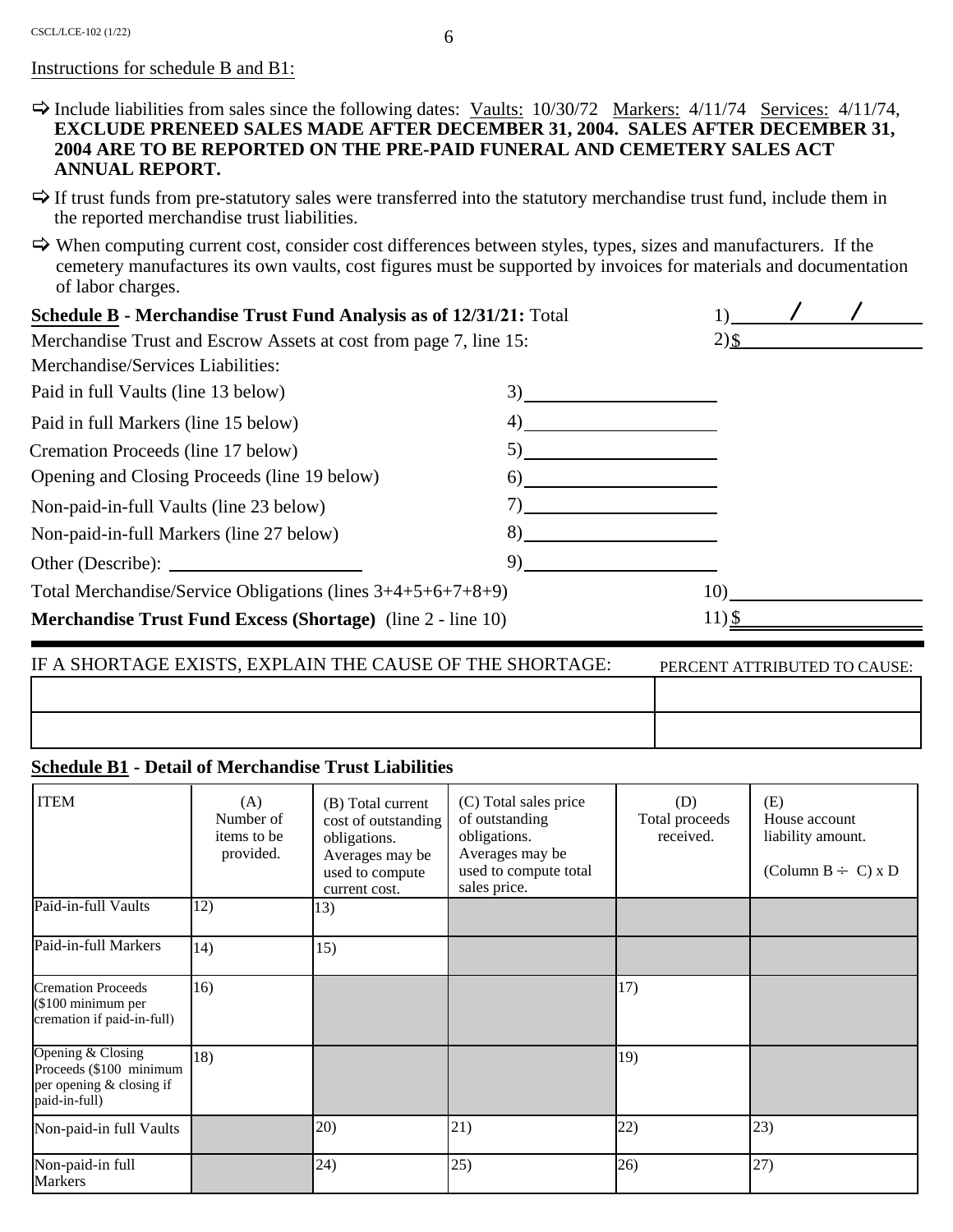#### Instructions for schedule B and B1:

- $\Rightarrow$  Include liabilities from sales since the following dates: <u>Vaults:</u> 10/30/72 <u>Markers:</u> 4/11/74 <u>Services:</u> 4/11/74, **EXCLUDE PRENEED SALES MADE AFTER DECEMBER 31, 2004. SALES AFTER DECEMBER 31, 2004 ARE TO BE REPORTED ON THE PRE-PAID FUNERAL AND CEMETERY SALES ACT ANNUAL REPORT.**
- $\Rightarrow$  If trust funds from pre-statutory sales were transferred into the statutory merchandise trust fund, include them in the reported merchandise trust liabilities.
- $\Rightarrow$  When computing current cost, consider cost differences between styles, types, sizes and manufacturers. If the cemetery manufactures its own vaults, cost figures must be supported by invoices for materials and documentation of labor charges.

| <b>Schedule B - Merchandise Trust Fund Analysis as of 12/31/21:</b> Total |    |         |  |
|---------------------------------------------------------------------------|----|---------|--|
| Merchandise Trust and Escrow Assets at cost from page 7, line 15:         |    | $2)$ \$ |  |
| Merchandise/Services Liabilities:                                         |    |         |  |
| Paid in full Vaults (line 13 below)                                       | 3) |         |  |
| Paid in full Markers (line 15 below)                                      | 4) |         |  |
| Cremation Proceeds (line 17 below)                                        | 5) |         |  |
| Opening and Closing Proceeds (line 19 below)                              | 6) |         |  |
| Non-paid-in-full Vaults (line 23 below)                                   | 7) |         |  |
| Non-paid-in-full Markers (line 27 below)                                  | 8) |         |  |
| Other (Describe):                                                         | 9) |         |  |
| Total Merchandise/Service Obligations (lines $3+4+5+6+7+8+9$ )            |    | 10)     |  |
| <b>Merchandise Trust Fund Excess (Shortage)</b> (line 2 - line 10)        |    | 11) \$  |  |

| IF A SHORTAGE EXISTS, EXPLAIN THE CAUSE OF THE SHORTAGE: | PERCENT ATTRIBUTED TO CAUSE: |
|----------------------------------------------------------|------------------------------|
|                                                          |                              |
|                                                          |                              |

#### **Schedule B1 - Detail of Merchandise Trust Liabilities**

| <b>ITEM</b>                                                                               | (A)<br>Number of<br>items to be<br>provided. | (B) Total current<br>cost of outstanding<br>obligations.<br>Averages may be<br>used to compute<br>current cost. | (C) Total sales price<br>of outstanding<br>obligations.<br>Averages may be<br>used to compute total<br>sales price. | (D)<br>Total proceeds<br>received. | (E)<br>House account<br>liability amount.<br>(Column B $\div$ C) x D |
|-------------------------------------------------------------------------------------------|----------------------------------------------|-----------------------------------------------------------------------------------------------------------------|---------------------------------------------------------------------------------------------------------------------|------------------------------------|----------------------------------------------------------------------|
| Paid-in-full Vaults                                                                       | 12)                                          | 13)                                                                                                             |                                                                                                                     |                                    |                                                                      |
| Paid-in-full Markers                                                                      | 14)                                          | 15)                                                                                                             |                                                                                                                     |                                    |                                                                      |
| <b>Cremation Proceeds</b><br>(\$100 minimum per<br>cremation if paid-in-full)             | 16)                                          |                                                                                                                 |                                                                                                                     | 17)                                |                                                                      |
| Opening & Closing<br>Proceeds (\$100 minimum<br>per opening & closing if<br>paid-in-full) | 18)                                          |                                                                                                                 |                                                                                                                     | 19)                                |                                                                      |
| Non-paid-in full Vaults                                                                   |                                              | 20)                                                                                                             | 21)                                                                                                                 | 22)                                | 23)                                                                  |
| Non-paid-in full<br><b>Markers</b>                                                        |                                              | 24)                                                                                                             | 25)                                                                                                                 | 26)                                | 27)                                                                  |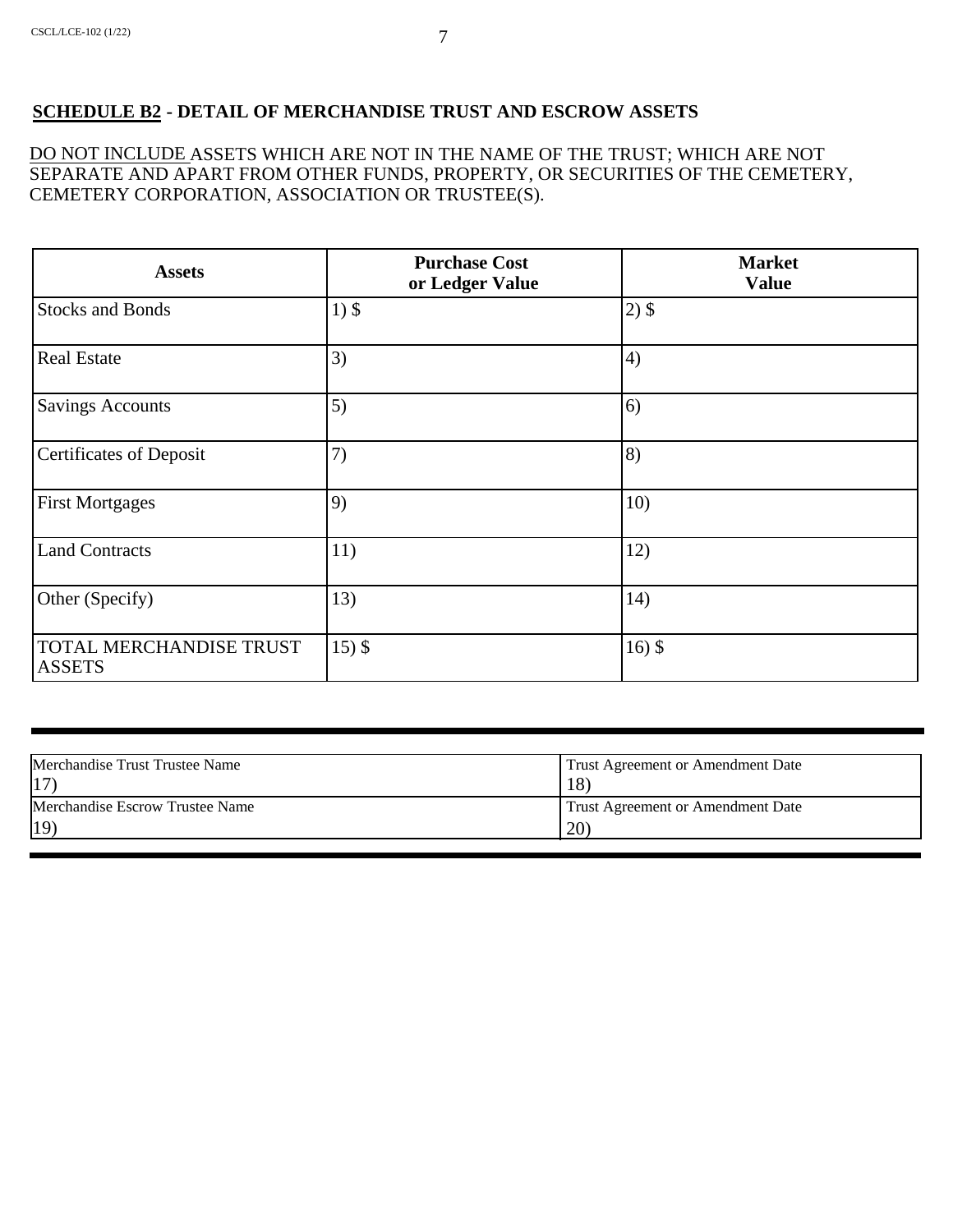### **SCHEDULE B2 - DETAIL OF MERCHANDISE TRUST AND ESCROW ASSETS**

DO NOT INCLUDE ASSETS WHICH ARE NOT IN THE NAME OF THE TRUST; WHICH ARE NOT SEPARATE AND APART FROM OTHER FUNDS, PROPERTY, OR SECURITIES OF THE CEMETERY, CEMETERY CORPORATION, ASSOCIATION OR TRUSTEE(S).

| <b>Assets</b>                            | <b>Purchase Cost</b><br>or Ledger Value | <b>Market</b><br><b>Value</b> |
|------------------------------------------|-----------------------------------------|-------------------------------|
| <b>Stocks and Bonds</b>                  | $1)$ \$                                 | $2)$ \$                       |
| <b>Real Estate</b>                       | 3)                                      | 4)                            |
| <b>Savings Accounts</b>                  | 5)                                      | 6)                            |
| <b>Certificates of Deposit</b>           | 7)                                      | 8)                            |
| <b>First Mortgages</b>                   | 9)                                      | 10)                           |
| <b>Land Contracts</b>                    | 11)                                     | 12)                           |
| Other (Specify)                          | 13)                                     | 14)                           |
| TOTAL MERCHANDISE TRUST<br><b>ASSETS</b> | $15)$ \$                                | $16)$ \$                      |

| Merchandise Trust Trustee Name  | Trust Agreement or Amendment Date |
|---------------------------------|-----------------------------------|
| 17                              | 18)                               |
| Merchandise Escrow Trustee Name | Trust Agreement or Amendment Date |
| 19)                             | (20)                              |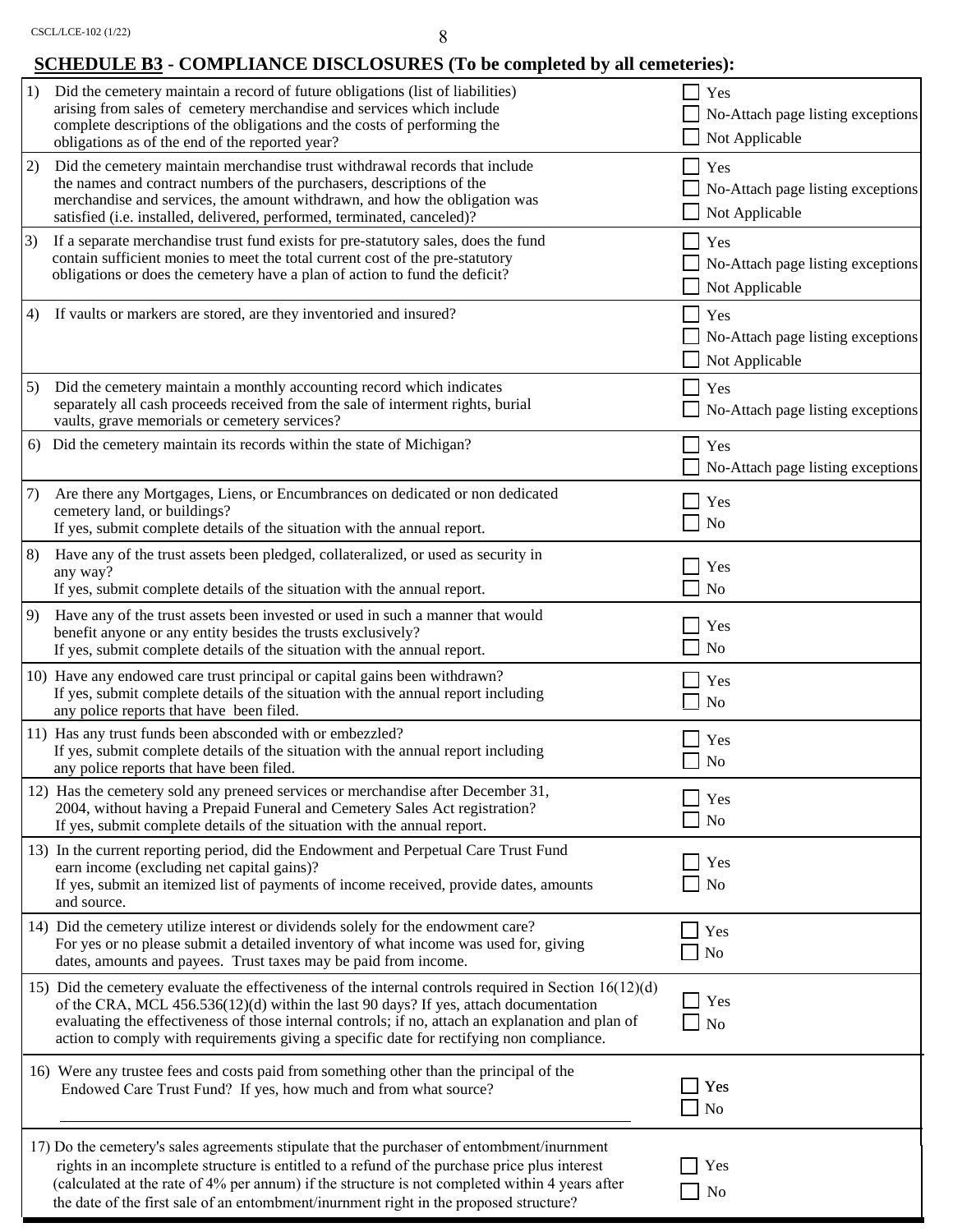# **SCHEDULE B3 - COMPLIANCE DISCLOSURES (To be completed by all cemeteries):**

| 1) | Did the cemetery maintain a record of future obligations (list of liabilities)<br>arising from sales of cemetery merchandise and services which include<br>complete descriptions of the obligations and the costs of performing the<br>obligations as of the end of the reported year?                                                                                                              |                | Yes<br>No-Attach page listing exceptions<br>$\Box$ Not Applicable         |
|----|-----------------------------------------------------------------------------------------------------------------------------------------------------------------------------------------------------------------------------------------------------------------------------------------------------------------------------------------------------------------------------------------------------|----------------|---------------------------------------------------------------------------|
| 2) | Did the cemetery maintain merchandise trust withdrawal records that include<br>the names and contract numbers of the purchasers, descriptions of the<br>merchandise and services, the amount withdrawn, and how the obligation was<br>satisfied (i.e. installed, delivered, performed, terminated, canceled)?                                                                                       |                | Yes<br>No-Attach page listing exceptions<br>$\blacksquare$ Not Applicable |
| 3) | If a separate merchandise trust fund exists for pre-statutory sales, does the fund<br>contain sufficient monies to meet the total current cost of the pre-statutory<br>obligations or does the cemetery have a plan of action to fund the deficit?                                                                                                                                                  |                | Yes<br>No-Attach page listing exceptions<br>Not Applicable                |
| 4) | If vaults or markers are stored, are they inventoried and insured?                                                                                                                                                                                                                                                                                                                                  |                | Yes<br>No-Attach page listing exceptions<br>Not Applicable                |
| 5) | Did the cemetery maintain a monthly accounting record which indicates<br>separately all cash proceeds received from the sale of interment rights, burial<br>vaults, grave memorials or cemetery services?                                                                                                                                                                                           |                | Yes<br>No-Attach page listing exceptions                                  |
| 6) | Did the cemetery maintain its records within the state of Michigan?                                                                                                                                                                                                                                                                                                                                 |                | $\sqcap$ Yes<br>No-Attach page listing exceptions                         |
| 7) | Are there any Mortgages, Liens, or Encumbrances on dedicated or non dedicated<br>cemetery land, or buildings?<br>If yes, submit complete details of the situation with the annual report.                                                                                                                                                                                                           |                | Yes<br>No                                                                 |
| 8) | Have any of the trust assets been pledged, collateralized, or used as security in<br>any way?<br>If yes, submit complete details of the situation with the annual report.                                                                                                                                                                                                                           |                | Yes<br>N <sub>o</sub>                                                     |
| 9) | Have any of the trust assets been invested or used in such a manner that would<br>benefit anyone or any entity besides the trusts exclusively?<br>If yes, submit complete details of the situation with the annual report.                                                                                                                                                                          | $\blacksquare$ | Yes<br><b>No</b>                                                          |
|    | 10) Have any endowed care trust principal or capital gains been withdrawn?<br>If yes, submit complete details of the situation with the annual report including<br>any police reports that have been filed.                                                                                                                                                                                         | $\blacksquare$ | <b>Yes</b><br>N <sub>o</sub>                                              |
|    | 11) Has any trust funds been absconded with or embezzled?<br>If yes, submit complete details of the situation with the annual report including<br>any police reports that have been filed.                                                                                                                                                                                                          |                | Yes<br>$\Box$ No                                                          |
|    | 12) Has the cemetery sold any preneed services or merchandise after December 31,<br>2004, without having a Prepaid Funeral and Cemetery Sales Act registration?<br>If yes, submit complete details of the situation with the annual report.                                                                                                                                                         |                | Yes<br>$\blacksquare$ No                                                  |
|    | 13) In the current reporting period, did the Endowment and Perpetual Care Trust Fund<br>earn income (excluding net capital gains)?<br>If yes, submit an itemized list of payments of income received, provide dates, amounts<br>and source.                                                                                                                                                         |                | $\blacksquare$ Yes<br>$\Box$ No                                           |
|    | 14) Did the cemetery utilize interest or dividends solely for the endowment care?<br>For yes or no please submit a detailed inventory of what income was used for, giving<br>dates, amounts and payees. Trust taxes may be paid from income.                                                                                                                                                        | $\blacksquare$ | Yes<br>$\Box$ No                                                          |
|    | 15) Did the cemetery evaluate the effectiveness of the internal controls required in Section $16(12)(d)$<br>of the CRA, MCL $456.536(12)(d)$ within the last 90 days? If yes, attach documentation<br>evaluating the effectiveness of those internal controls; if no, attach an explanation and plan of<br>action to comply with requirements giving a specific date for rectifying non compliance. |                | $\Box$ Yes<br>$\Box$ No                                                   |
|    | 16) Were any trustee fees and costs paid from something other than the principal of the<br>Endowed Care Trust Fund? If yes, how much and from what source?                                                                                                                                                                                                                                          | $\sim 10$      | Yes<br>$\Box$ No                                                          |
|    | 17) Do the cemetery's sales agreements stipulate that the purchaser of entombment/inurnment<br>rights in an incomplete structure is entitled to a refund of the purchase price plus interest<br>(calculated at the rate of 4% per annum) if the structure is not completed within 4 years after<br>the date of the first sale of an entombment/inurnment right in the proposed structure?           |                | Yes<br>N <sub>o</sub>                                                     |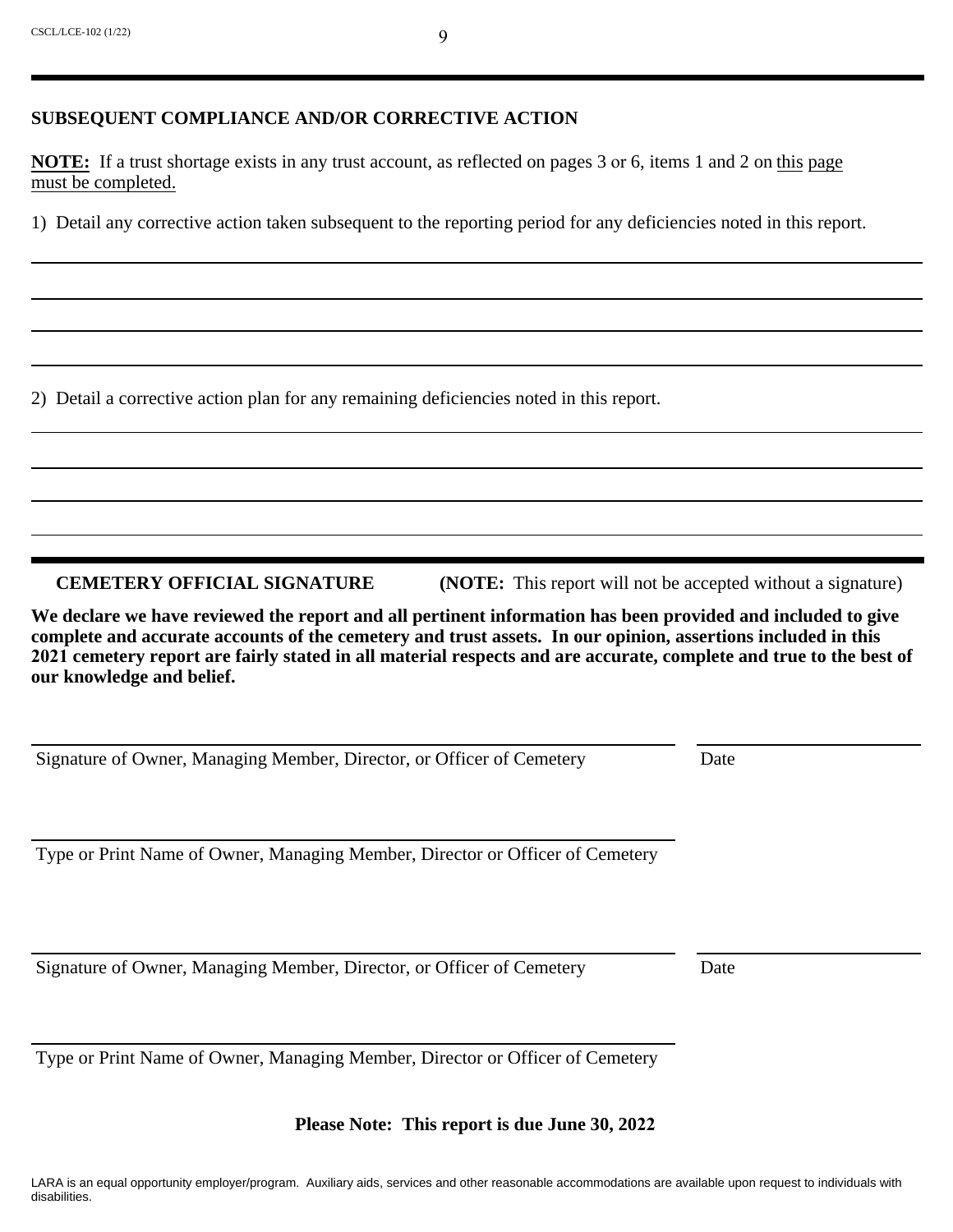### **SUBSEQUENT COMPLIANCE AND/OR CORRECTIVE ACTION**

**NOTE:** If a trust shortage exists in any trust account, as reflected on pages 3 or 6, items 1 and 2 on this page must be completed.

1) Detail any corrective action taken subsequent to the reporting period for any deficiencies noted in this report.

2) Detail a corrective action plan for any remaining deficiencies noted in this report.

**CEMETERY OFFICIAL SIGNATURE** (NOTE: This report will not be accepted without a signature)

**We declare we have reviewed the report and all pertinent information has been provided and included to give complete and accurate accounts of the cemetery and trust assets. In our opinion, assertions included in this 2021 cemetery report are fairly stated in all material respects and are accurate, complete and true to the best of our knowledge and belief.**

Signature of Owner, Managing Member, Director, or Officer of Cemetery Date

Type or Print Name of Owner, Managing Member, Director or Officer of Cemetery

Signature of Owner, Managing Member, Director, or Officer of Cemetery Date

Type or Print Name of Owner, Managing Member, Director or Officer of Cemetery

**Please Note: This report is due June 30, 2022**